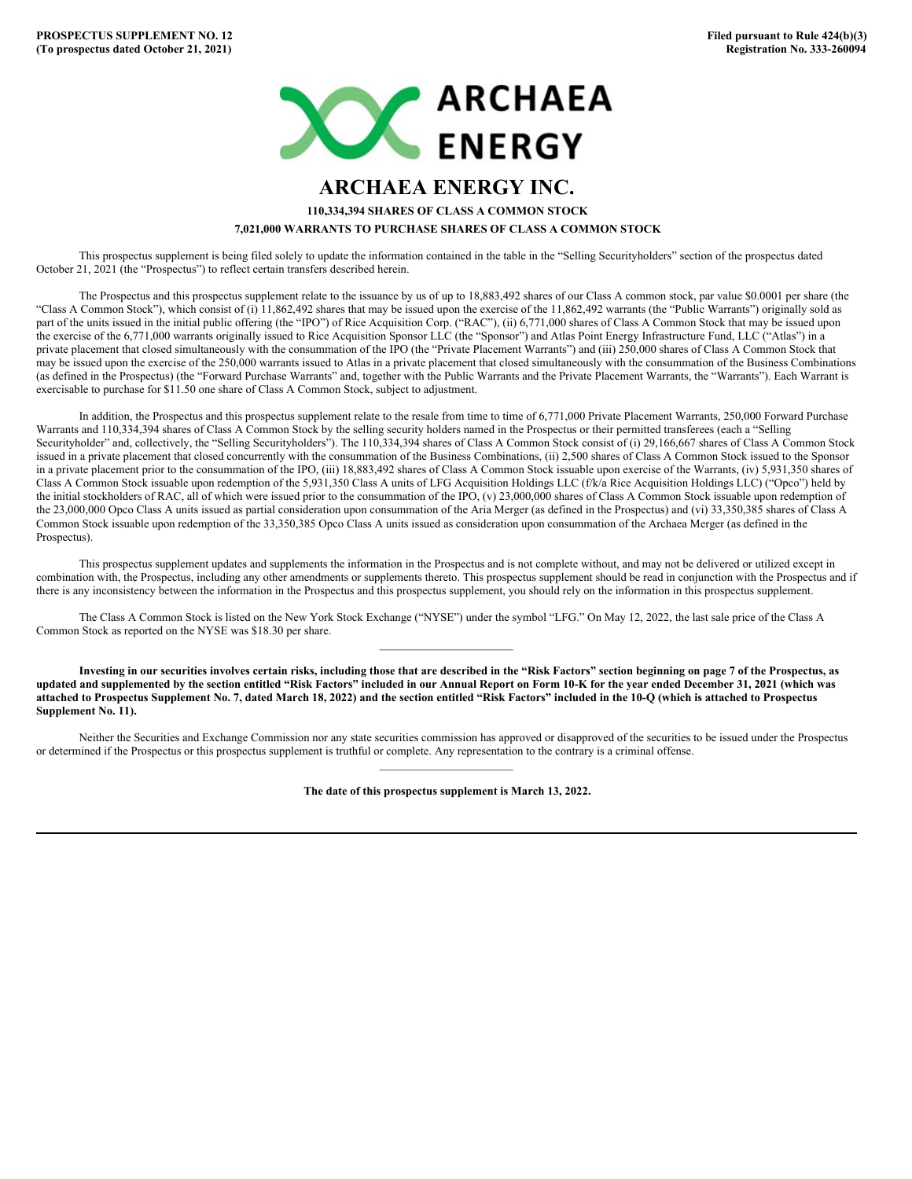

## **ARCHAEA ENERGY INC.**

**110,334,394 SHARES OF CLASS A COMMON STOCK 7,021,000 WARRANTS TO PURCHASE SHARES OF CLASS A COMMON STOCK**

This prospectus supplement is being filed solely to update the information contained in the table in the "Selling Securityholders" section of the prospectus dated October 21, 2021 (the "Prospectus") to reflect certain transfers described herein.

The Prospectus and this prospectus supplement relate to the issuance by us of up to 18,883,492 shares of our Class A common stock, par value \$0.0001 per share (the "Class A Common Stock"), which consist of (i) 11,862,492 shares that may be issued upon the exercise of the 11,862,492 warrants (the "Public Warrants") originally sold as part of the units issued in the initial public offering (the "IPO") of Rice Acquisition Corp. ("RAC"), (ii) 6,771,000 shares of Class A Common Stock that may be issued upon the exercise of the 6,771,000 warrants originally issued to Rice Acquisition Sponsor LLC (the "Sponsor") and Atlas Point Energy Infrastructure Fund, LLC ("Atlas") in a private placement that closed simultaneously with the consummation of the IPO (the "Private Placement Warrants") and (iii) 250,000 shares of Class A Common Stock that may be issued upon the exercise of the 250,000 warrants issued to Atlas in a private placement that closed simultaneously with the consummation of the Business Combinations (as defined in the Prospectus) (the "Forward Purchase Warrants" and, together with the Public Warrants and the Private Placement Warrants, the "Warrants"). Each Warrant is exercisable to purchase for \$11.50 one share of Class A Common Stock, subject to adjustment.

In addition, the Prospectus and this prospectus supplement relate to the resale from time to time of 6,771,000 Private Placement Warrants, 250,000 Forward Purchase Warrants and 110,334,394 shares of Class A Common Stock by the selling security holders named in the Prospectus or their permitted transferees (each a "Selling Securityholder" and, collectively, the "Selling Securityholders"). The 110,334,394 shares of Class A Common Stock consist of (i) 29,166,667 shares of Class A Common Stock issued in a private placement that closed concurrently with the consummation of the Business Combinations, (ii) 2,500 shares of Class A Common Stock issued to the Sponsor in a private placement prior to the consummation of the IPO, (iii) 18,883,492 shares of Class A Common Stock issuable upon exercise of the Warrants, (iv) 5,931,350 shares of Class A Common Stock issuable upon redemption of the 5,931,350 Class A units of LFG Acquisition Holdings LLC (f/k/a Rice Acquisition Holdings LLC) ("Opco") held by the initial stockholders of RAC, all of which were issued prior to the consummation of the IPO, (v) 23,000,000 shares of Class A Common Stock issuable upon redemption of the 23,000,000 Opco Class A units issued as partial consideration upon consummation of the Aria Merger (as defined in the Prospectus) and (vi) 33,350,385 shares of Class A Common Stock issuable upon redemption of the 33,350,385 Opco Class A units issued as consideration upon consummation of the Archaea Merger (as defined in the Prospectus).

This prospectus supplement updates and supplements the information in the Prospectus and is not complete without, and may not be delivered or utilized except in combination with, the Prospectus, including any other amendments or supplements thereto. This prospectus supplement should be read in conjunction with the Prospectus and if there is any inconsistency between the information in the Prospectus and this prospectus supplement, you should rely on the information in this prospectus supplement.

 $\mathcal{L}_\text{max}$ 

The Class A Common Stock is listed on the New York Stock Exchange ("NYSE") under the symbol "LFG." On May 12, 2022, the last sale price of the Class A Common Stock as reported on the NYSE was \$18.30 per share.

Investing in our securities involves certain risks, including those that are described in the "Risk Factors" section beginning on page 7 of the Prospectus, as updated and supplemented by the section entitled "Risk Factors" included in our Annual Report on Form 10-K for the vear ended December 31, 2021 (which was attached to Prospectus Supplement No. 7, dated March 18, 2022) and the section entitled "Risk Factors" included in the 10-Q (which is attached to Prospectus **Supplement No. 11).**

Neither the Securities and Exchange Commission nor any state securities commission has approved or disapproved of the securities to be issued under the Prospectus or determined if the Prospectus or this prospectus supplement is truthful or complete. Any representation to the contrary is a criminal offense.  $\mathcal{L}_\text{max}$ 

**The date of this prospectus supplement is March 13, 2022.**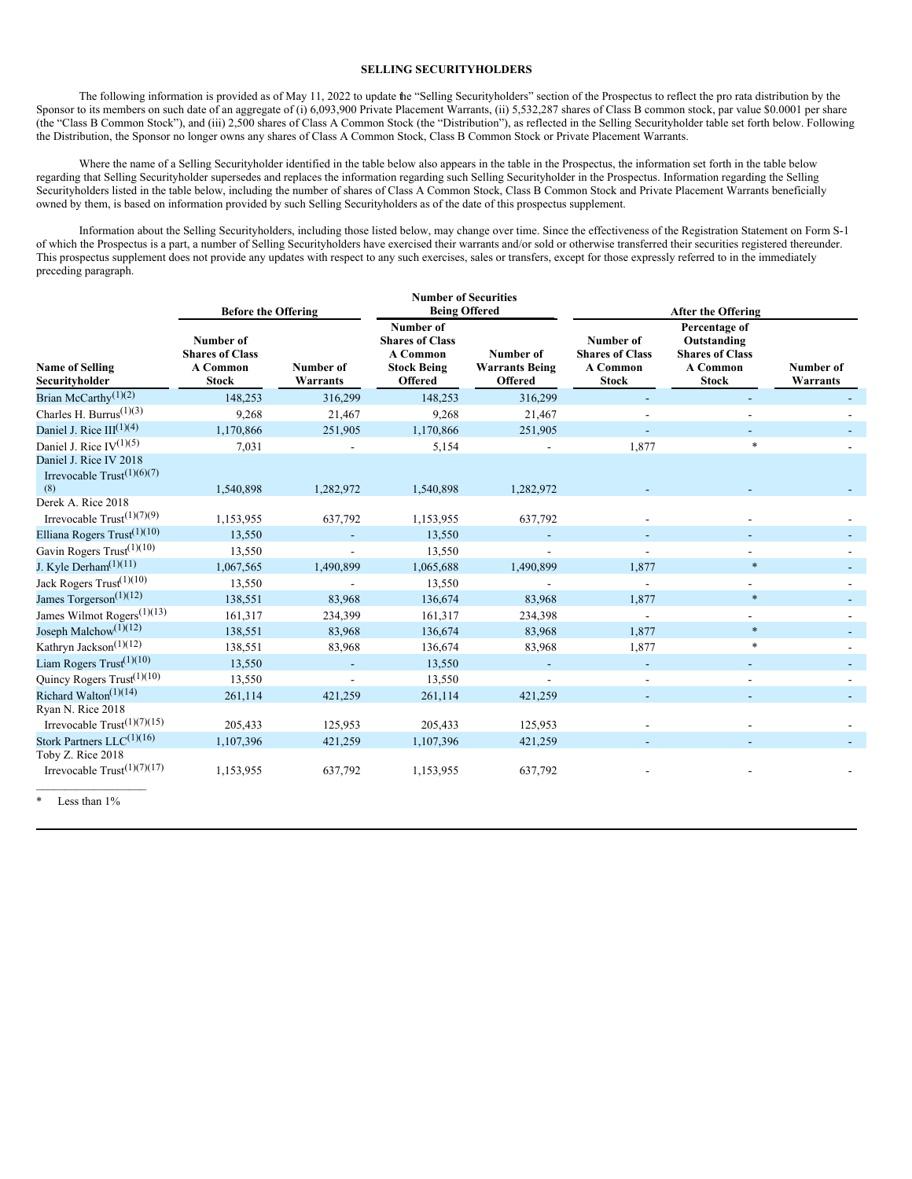## **SELLING SECURITYHOLDERS**

The following information is provided as of May 11, 2022 to update the "Selling Securityholders" section of the Prospectus to reflect the pro rata distribution by the Sponsor to its members on such date of an aggregate of (i) 6,093,900 Private Placement Warrants, (ii) 5,532,287 shares of Class B common stock, par value \$0.0001 per share (the "Class B Common Stock"), and (iii) 2,500 shares of Class A Common Stock (the "Distribution"), as reflected in the Selling Securityholder table set forth below. Following the Distribution, the Sponsor no longer owns any shares of Class A Common Stock, Class B Common Stock or Private Placement Warrants.

Where the name of a Selling Securityholder identified in the table below also appears in the table in the Prospectus, the information set forth in the table below regarding that Selling Securityholder supersedes and replaces the information regarding such Selling Securityholder in the Prospectus. Information regarding the Selling Securityholders listed in the table below, including the number of shares of Class A Common Stock, Class B Common Stock and Private Placement Warrants beneficially owned by them, is based on information provided by such Selling Securityholders as of the date of this prospectus supplement.

Information about the Selling Securityholders, including those listed below, may change over time. Since the effectiveness of the Registration Statement on Form S-1 of which the Prospectus is a part, a number of Selling Securityholders have exercised their warrants and/or sold or otherwise transferred their securities registered thereunder. This prospectus supplement does not provide any updates with respect to any such exercises, sales or transfers, except for those expressly referred to in the immediately preceding paragraph.

|                                                                  | <b>Before the Offering</b>                                             |                       | <b>Number of Securities</b><br><b>Being Offered</b>                                     |                                                      | <b>After the Offering</b>                                       |                                                                                           |                       |
|------------------------------------------------------------------|------------------------------------------------------------------------|-----------------------|-----------------------------------------------------------------------------------------|------------------------------------------------------|-----------------------------------------------------------------|-------------------------------------------------------------------------------------------|-----------------------|
| <b>Name of Selling</b><br>Securityholder                         | Number of<br><b>Shares of Class</b><br><b>A Common</b><br><b>Stock</b> | Number of<br>Warrants | Number of<br><b>Shares of Class</b><br>A Common<br><b>Stock Being</b><br><b>Offered</b> | Number of<br><b>Warrants Being</b><br><b>Offered</b> | Number of<br><b>Shares of Class</b><br>A Common<br><b>Stock</b> | Percentage of<br>Outstanding<br><b>Shares of Class</b><br><b>A Common</b><br><b>Stock</b> | Number of<br>Warrants |
| Brian McCarthy $\overline{(1)(2)}$                               | 148,253                                                                | 316,299               | 148,253                                                                                 | 316,299                                              |                                                                 |                                                                                           |                       |
| Charles H. Burrus <sup>(1)(3)</sup>                              | 9,268                                                                  | 21,467                | 9,268                                                                                   | 21,467                                               |                                                                 |                                                                                           |                       |
| Daniel J. Rice $III^{(1)(4)}$                                    | 1,170,866                                                              | 251,905               | 1,170,866                                                                               | 251,905                                              |                                                                 |                                                                                           |                       |
| Daniel J. Rice $IV^{(1)(5)}$                                     | 7,031                                                                  |                       | 5,154                                                                                   |                                                      | 1,877                                                           |                                                                                           |                       |
| Daniel J. Rice IV 2018<br>Irrevocable $Trust^{(1)(6)(7)}$<br>(8) | 1,540,898                                                              | 1,282,972             | 1,540,898                                                                               | 1,282,972                                            |                                                                 |                                                                                           |                       |
| Derek A. Rice 2018                                               |                                                                        |                       |                                                                                         |                                                      |                                                                 |                                                                                           |                       |
| Irrevocable $Trust(1)(7)(9)$                                     | 1,153,955                                                              | 637,792               | 1,153,955                                                                               | 637,792                                              |                                                                 |                                                                                           |                       |
| Elliana Rogers Trust $(1)(10)$                                   | 13,550                                                                 |                       | 13,550                                                                                  |                                                      |                                                                 |                                                                                           |                       |
| Gavin Rogers Trust <sup>(1)(10)</sup>                            | 13,550                                                                 |                       | 13,550                                                                                  |                                                      |                                                                 |                                                                                           |                       |
| J. Kyle Derham <sup>(1)(11)</sup>                                | 1,067,565                                                              | 1,490,899             | 1,065,688                                                                               | 1,490,899                                            | 1,877                                                           | $\ast$                                                                                    |                       |
| Jack Rogers Trust <sup>(1)(10)</sup>                             | 13,550                                                                 |                       | 13,550                                                                                  |                                                      |                                                                 |                                                                                           |                       |
| James Torgerson <sup>(1)(12)</sup>                               | 138,551                                                                | 83,968                | 136,674                                                                                 | 83,968                                               | 1,877                                                           | $\ast$                                                                                    |                       |
| James Wilmot Rogers <sup>(1)(13)</sup>                           | 161,317                                                                | 234,399               | 161,317                                                                                 | 234,398                                              |                                                                 |                                                                                           |                       |
| Joseph Malchow <sup>(1)(12)</sup>                                | 138,551                                                                | 83,968                | 136,674                                                                                 | 83,968                                               | 1,877                                                           | $\ast$                                                                                    |                       |
| Kathryn Jackson <sup>(1)(12)</sup>                               | 138,551                                                                | 83,968                | 136,674                                                                                 | 83,968                                               | 1,877                                                           | $\ast$                                                                                    |                       |
| Liam Rogers $Trust^{(1)(10)}$                                    | 13,550                                                                 |                       | 13,550                                                                                  |                                                      |                                                                 |                                                                                           |                       |
| Quincy Rogers Trust <sup>(1)(10)</sup>                           | 13,550                                                                 |                       | 13,550                                                                                  |                                                      |                                                                 |                                                                                           |                       |
| Richard Walton <sup><math>(1)(14)</math></sup>                   | 261,114                                                                | 421,259               | 261,114                                                                                 | 421,259                                              |                                                                 |                                                                                           |                       |
| Ryan N. Rice 2018<br>Irrevocable $Trust^{(1)(7)(15)}$            | 205,433                                                                | 125,953               | 205,433                                                                                 | 125,953                                              |                                                                 |                                                                                           |                       |
| Stork Partners LLC <sup>(1)(16)</sup>                            | 1,107,396                                                              | 421,259               | 1,107,396                                                                               | 421,259                                              |                                                                 |                                                                                           |                       |
| Toby Z. Rice 2018<br>Irrevocable $Trust^{(1)(7)(17)}$            | 1,153,955                                                              | 637,792               | 1,153,955                                                                               | 637,792                                              |                                                                 |                                                                                           |                       |

Less than 1%